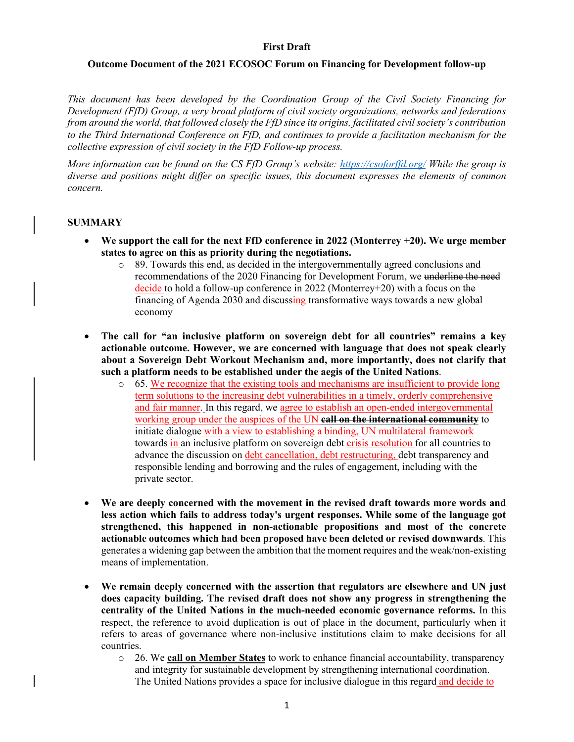## **First Draft**

#### **Outcome Document of the 2021 ECOSOC Forum on Financing for Development follow-up**

*This document has been developed by the Coordination Group of the Civil Society Financing for Development (FfD) Group, a very broad platform of civil society organizations, networks and federations from around the world, that followed closely the FfD since its origins, facilitated civil society's contribution to the Third International Conference on FfD, and continues to provide a facilitation mechanism for the collective expression of civil society in the FfD Follow-up process.* 

*More information can be found on the CS FfD Group's website: https://csoforffd.org/ While the group is diverse and positions might differ on specific issues, this document expresses the elements of common concern.* 

#### **SUMMARY**

- **We support the call for the next FfD conference in 2022 (Monterrey +20). We urge member states to agree on this as priority during the negotiations.** 
	- o 89. Towards this end, as decided in the intergovernmentally agreed conclusions and recommendations of the 2020 Financing for Development Forum, we underline the need decide to hold a follow-up conference in 2022 (Monterrey+20) with a focus on the financing of Agenda 2030 and discussing transformative ways towards a new global economy
- **The call for "an inclusive platform on sovereign debt for all countries" remains a key actionable outcome. However, we are concerned with language that does not speak clearly about a Sovereign Debt Workout Mechanism and, more importantly, does not clarify that such a platform needs to be established under the aegis of the United Nations**.
	- $\circ$  65. We recognize that the existing tools and mechanisms are insufficient to provide long term solutions to the increasing debt vulnerabilities in a timely, orderly comprehensive and fair manner. In this regard, we agree to establish an open-ended intergovernmental working group under the auspices of the UN **call on the international community** to initiate dialogue with a view to establishing a binding, UN multilateral framework towards in-an inclusive platform on sovereign debt crisis resolution for all countries to advance the discussion on debt cancellation, debt restructuring, debt transparency and responsible lending and borrowing and the rules of engagement, including with the private sector.
- **We are deeply concerned with the movement in the revised draft towards more words and less action which fails to address today's urgent responses. While some of the language got strengthened, this happened in non-actionable propositions and most of the concrete actionable outcomes which had been proposed have been deleted or revised downwards**. This generates a widening gap between the ambition that the moment requires and the weak/non-existing means of implementation.
- **We remain deeply concerned with the assertion that regulators are elsewhere and UN just does capacity building. The revised draft does not show any progress in strengthening the centrality of the United Nations in the much-needed economic governance reforms.** In this respect, the reference to avoid duplication is out of place in the document, particularly when it refers to areas of governance where non-inclusive institutions claim to make decisions for all countries.
	- o 26. We **call on Member States** to work to enhance financial accountability, transparency and integrity for sustainable development by strengthening international coordination. The United Nations provides a space for inclusive dialogue in this regard and decide to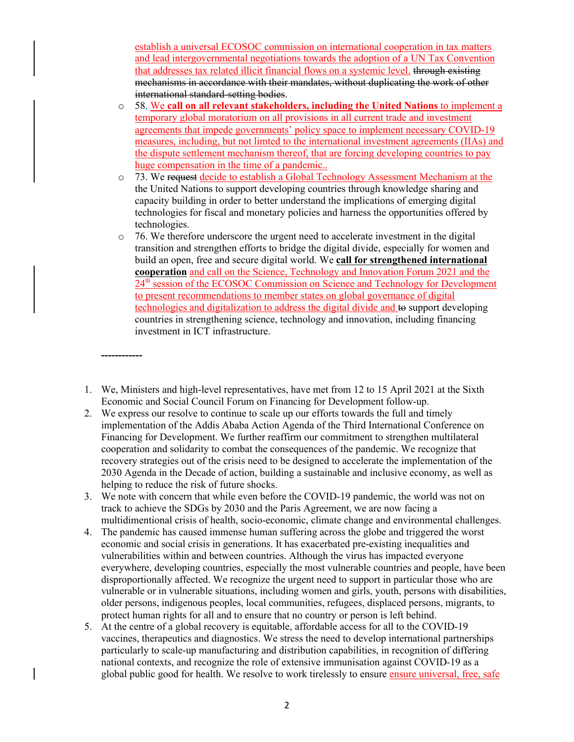establish a universal ECOSOC commission on international cooperation in tax matters and lead intergovernmental negotiations towards the adoption of a UN Tax Convention that addresses tax related illicit financial flows on a systemic level. through existing mechanisms in accordance with their mandates, without duplicating the work of other international standard-setting bodies.

- o 58. We **call on all relevant stakeholders, including the United Nations** to implement a temporary global moratorium on all provisions in all current trade and investment agreements that impede governments' policy space to implement necessary COVID-19 measures, including, but not limted to the international investment agreements (IIAs) and the dispute settlement mechanism thereof, that are forcing developing countries to pay huge compensation in the time of a pandemic..
- o 73. We request decide to establish a Global Technology Assessment Mechanism at the the United Nations to support developing countries through knowledge sharing and capacity building in order to better understand the implications of emerging digital technologies for fiscal and monetary policies and harness the opportunities offered by technologies.
- $\circ$  76. We therefore underscore the urgent need to accelerate investment in the digital transition and strengthen efforts to bridge the digital divide, especially for women and build an open, free and secure digital world. We **call for strengthened international cooperation** and call on the Science, Technology and Innovation Forum 2021 and the 24<sup>th</sup> session of the ECOSOC Commission on Science and Technology for Development to present recommendations to member states on global governance of digital technologies and digitalization to address the digital divide and to support developing countries in strengthening science, technology and innovation, including financing investment in ICT infrastructure.
- 1. We, Ministers and high-level representatives, have met from 12 to 15 April 2021 at the Sixth Economic and Social Council Forum on Financing for Development follow-up.

**------------**

- 2. We express our resolve to continue to scale up our efforts towards the full and timely implementation of the Addis Ababa Action Agenda of the Third International Conference on Financing for Development. We further reaffirm our commitment to strengthen multilateral cooperation and solidarity to combat the consequences of the pandemic. We recognize that recovery strategies out of the crisis need to be designed to accelerate the implementation of the 2030 Agenda in the Decade of action, building a sustainable and inclusive economy, as well as helping to reduce the risk of future shocks.
- 3. We note with concern that while even before the COVID-19 pandemic, the world was not on track to achieve the SDGs by 2030 and the Paris Agreement, we are now facing a multidimentional crisis of health, socio-economic, climate change and environmental challenges.
- 4. The pandemic has caused immense human suffering across the globe and triggered the worst economic and social crisis in generations. It has exacerbated pre-existing inequalities and vulnerabilities within and between countries. Although the virus has impacted everyone everywhere, developing countries, especially the most vulnerable countries and people, have been disproportionally affected. We recognize the urgent need to support in particular those who are vulnerable or in vulnerable situations, including women and girls, youth, persons with disabilities, older persons, indigenous peoples, local communities, refugees, displaced persons, migrants, to protect human rights for all and to ensure that no country or person is left behind.
- 5. At the centre of a global recovery is equitable, affordable access for all to the COVID-19 vaccines, therapeutics and diagnostics. We stress the need to develop international partnerships particularly to scale-up manufacturing and distribution capabilities, in recognition of differing national contexts, and recognize the role of extensive immunisation against COVID-19 as a global public good for health. We resolve to work tirelessly to ensure ensure universal, free, safe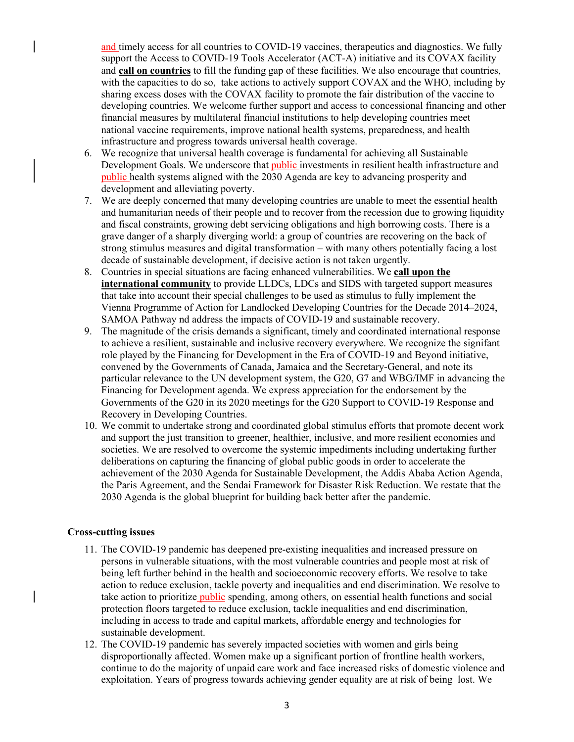and timely access for all countries to COVID-19 vaccines, therapeutics and diagnostics. We fully support the Access to COVID-19 Tools Accelerator (ACT-A) initiative and its COVAX facility and **call on countries** to fill the funding gap of these facilities. We also encourage that countries, with the capacities to do so, take actions to actively support COVAX and the WHO, including by sharing excess doses with the COVAX facility to promote the fair distribution of the vaccine to developing countries. We welcome further support and access to concessional financing and other financial measures by multilateral financial institutions to help developing countries meet national vaccine requirements, improve national health systems, preparedness, and health infrastructure and progress towards universal health coverage.

- 6. We recognize that universal health coverage is fundamental for achieving all Sustainable Development Goals. We underscore that public investments in resilient health infrastructure and public health systems aligned with the 2030 Agenda are key to advancing prosperity and development and alleviating poverty.
- 7. We are deeply concerned that many developing countries are unable to meet the essential health and humanitarian needs of their people and to recover from the recession due to growing liquidity and fiscal constraints, growing debt servicing obligations and high borrowing costs. There is a grave danger of a sharply diverging world: a group of countries are recovering on the back of strong stimulus measures and digital transformation – with many others potentially facing a lost decade of sustainable development, if decisive action is not taken urgently.
- 8. Countries in special situations are facing enhanced vulnerabilities. We **call upon the international community** to provide LLDCs, LDCs and SIDS with targeted support measures that take into account their special challenges to be used as stimulus to fully implement the Vienna Programme of Action for Landlocked Developing Countries for the Decade 2014–2024, SAMOA Pathway nd address the impacts of COVID-19 and sustainable recovery.
- 9. The magnitude of the crisis demands a significant, timely and coordinated international response to achieve a resilient, sustainable and inclusive recovery everywhere. We recognize the signifant role played by the Financing for Development in the Era of COVID-19 and Beyond initiative, convened by the Governments of Canada, Jamaica and the Secretary-General, and note its particular relevance to the UN development system, the G20, G7 and WBG/IMF in advancing the Financing for Development agenda. We express appreciation for the endorsement by the Governments of the G20 in its 2020 meetings for the G20 Support to COVID-19 Response and Recovery in Developing Countries.
- 10. We commit to undertake strong and coordinated global stimulus efforts that promote decent work and support the just transition to greener, healthier, inclusive, and more resilient economies and societies. We are resolved to overcome the systemic impediments including undertaking further deliberations on capturing the financing of global public goods in order to accelerate the achievement of the 2030 Agenda for Sustainable Development, the Addis Ababa Action Agenda, the Paris Agreement, and the Sendai Framework for Disaster Risk Reduction. We restate that the 2030 Agenda is the global blueprint for building back better after the pandemic.

#### **Cross-cutting issues**

- 11. The COVID-19 pandemic has deepened pre-existing inequalities and increased pressure on persons in vulnerable situations, with the most vulnerable countries and people most at risk of being left further behind in the health and socioeconomic recovery efforts. We resolve to take action to reduce exclusion, tackle poverty and inequalities and end discrimination. We resolve to take action to prioritize **public** spending, among others, on essential health functions and social protection floors targeted to reduce exclusion, tackle inequalities and end discrimination, including in access to trade and capital markets, affordable energy and technologies for sustainable development.
- 12. The COVID-19 pandemic has severely impacted societies with women and girls being disproportionally affected. Women make up a significant portion of frontline health workers, continue to do the majority of unpaid care work and face increased risks of domestic violence and exploitation. Years of progress towards achieving gender equality are at risk of being lost. We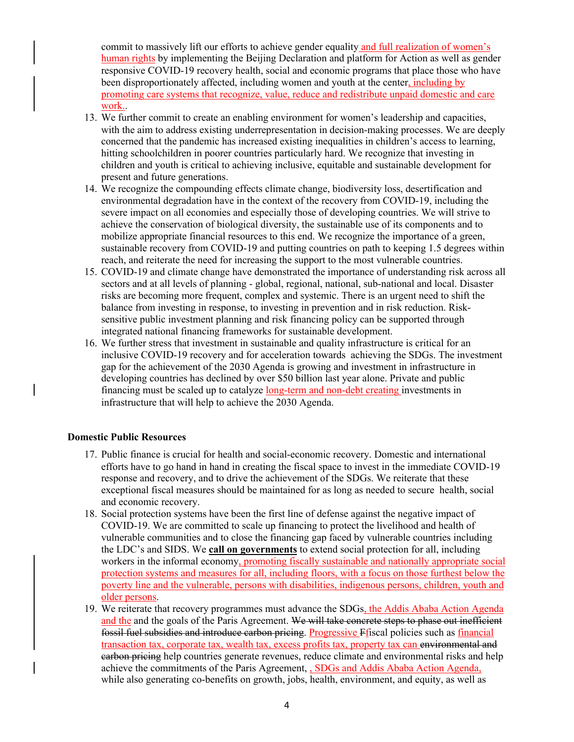commit to massively lift our efforts to achieve gender equality and full realization of women's human rights by implementing the Beijing Declaration and platform for Action as well as gender responsive COVID-19 recovery health, social and economic programs that place those who have been disproportionately affected, including women and youth at the center, including by promoting care systems that recognize, value, reduce and redistribute unpaid domestic and care work..

- 13. We further commit to create an enabling environment for women's leadership and capacities, with the aim to address existing underrepresentation in decision-making processes. We are deeply concerned that the pandemic has increased existing inequalities in children's access to learning, hitting schoolchildren in poorer countries particularly hard. We recognize that investing in children and youth is critical to achieving inclusive, equitable and sustainable development for present and future generations.
- 14. We recognize the compounding effects climate change, biodiversity loss, desertification and environmental degradation have in the context of the recovery from COVID-19, including the severe impact on all economies and especially those of developing countries. We will strive to achieve the conservation of biological diversity, the sustainable use of its components and to mobilize appropriate financial resources to this end. We recognize the importance of a green, sustainable recovery from COVID-19 and putting countries on path to keeping 1.5 degrees within reach, and reiterate the need for increasing the support to the most vulnerable countries.
- 15. COVID-19 and climate change have demonstrated the importance of understanding risk across all sectors and at all levels of planning - global, regional, national, sub-national and local. Disaster risks are becoming more frequent, complex and systemic. There is an urgent need to shift the balance from investing in response, to investing in prevention and in risk reduction. Risksensitive public investment planning and risk financing policy can be supported through integrated national financing frameworks for sustainable development.
- 16. We further stress that investment in sustainable and quality infrastructure is critical for an inclusive COVID-19 recovery and for acceleration towards achieving the SDGs. The investment gap for the achievement of the 2030 Agenda is growing and investment in infrastructure in developing countries has declined by over \$50 billion last year alone. Private and public financing must be scaled up to catalyze long-term and non-debt creating investments in infrastructure that will help to achieve the 2030 Agenda.

## **Domestic Public Resources**

- 17. Public finance is crucial for health and social-economic recovery. Domestic and international efforts have to go hand in hand in creating the fiscal space to invest in the immediate COVID-19 response and recovery, and to drive the achievement of the SDGs. We reiterate that these exceptional fiscal measures should be maintained for as long as needed to secure health, social and economic recovery.
- 18. Social protection systems have been the first line of defense against the negative impact of COVID-19. We are committed to scale up financing to protect the livelihood and health of vulnerable communities and to close the financing gap faced by vulnerable countries including the LDC's and SIDS. We **call on governments** to extend social protection for all, including workers in the informal economy, promoting fiscally sustainable and nationally appropriate social protection systems and measures for all, including floors, with a focus on those furthest below the poverty line and the vulnerable, persons with disabilities, indigenous persons, children, youth and older persons.
- 19. We reiterate that recovery programmes must advance the SDGs, the Addis Ababa Action Agenda and the and the goals of the Paris Agreement. We will take concrete steps to phase out inefficient fossil fuel subsidies and introduce carbon pricing. Progressive Ffiscal policies such as financial transaction tax, corporate tax, wealth tax, excess profits tax, property tax can environmental and earbon pricing help countries generate revenues, reduce climate and environmental risks and help achieve the commitments of the Paris Agreement, SDGs and Addis Ababa Action Agenda, while also generating co-benefits on growth, jobs, health, environment, and equity, as well as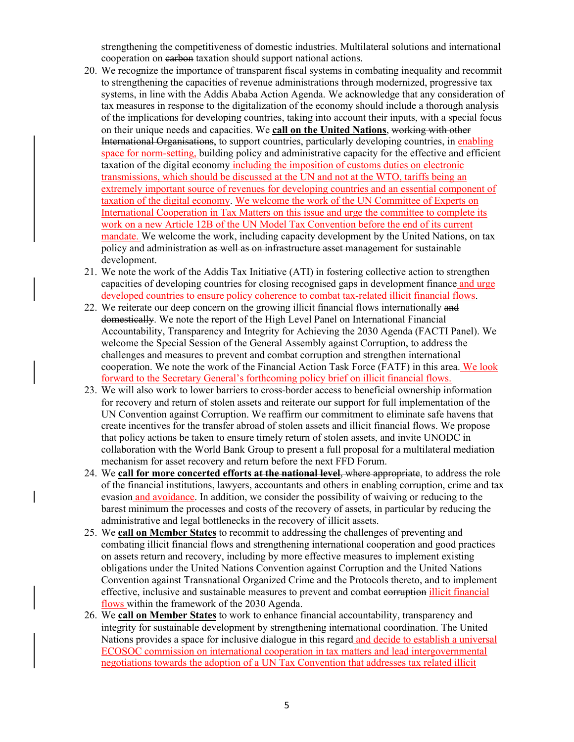strengthening the competitiveness of domestic industries. Multilateral solutions and international cooperation on earbon taxation should support national actions.

- 20. We recognize the importance of transparent fiscal systems in combating inequality and recommit to strengthening the capacities of revenue administrations through modernized, progressive tax systems, in line with the Addis Ababa Action Agenda. We acknowledge that any consideration of tax measures in response to the digitalization of the economy should include a thorough analysis of the implications for developing countries, taking into account their inputs, with a special focus on their unique needs and capacities. We **call on the United Nations**, working with other International Organisations, to support countries, particularly developing countries, in enabling space for norm-setting, building policy and administrative capacity for the effective and efficient taxation of the digital economy including the imposition of customs duties on electronic transmissions, which should be discussed at the UN and not at the WTO, tariffs being an extremely important source of revenues for developing countries and an essential component of taxation of the digital economy. We welcome the work of the UN Committee of Experts on International Cooperation in Tax Matters on this issue and urge the committee to complete its work on a new Article 12B of the UN Model Tax Convention before the end of its current mandate. We welcome the work, including capacity development by the United Nations, on tax policy and administration as well as on infrastructure asset management for sustainable development.
- 21. We note the work of the Addis Tax Initiative (ATI) in fostering collective action to strengthen capacities of developing countries for closing recognised gaps in development finance and urge developed countries to ensure policy coherence to combat tax-related illicit financial flows.
- 22. We reiterate our deep concern on the growing illicit financial flows internationally and domestically. We note the report of the High Level Panel on International Financial Accountability, Transparency and Integrity for Achieving the 2030 Agenda (FACTI Panel). We welcome the Special Session of the General Assembly against Corruption, to address the challenges and measures to prevent and combat corruption and strengthen international cooperation. We note the work of the Financial Action Task Force (FATF) in this area. We look forward to the Secretary General's forthcoming policy brief on illicit financial flows.
- 23. We will also work to lower barriers to cross-border access to beneficial ownership information for recovery and return of stolen assets and reiterate our support for full implementation of the UN Convention against Corruption. We reaffirm our commitment to eliminate safe havens that create incentives for the transfer abroad of stolen assets and illicit financial flows. We propose that policy actions be taken to ensure timely return of stolen assets, and invite UNODC in collaboration with the World Bank Group to present a full proposal for a multilateral mediation mechanism for asset recovery and return before the next FFD Forum.
- 24. We **call for more concerted efforts at the national level**, where appropriate, to address the role of the financial institutions, lawyers, accountants and others in enabling corruption, crime and tax evasion and avoidance. In addition, we consider the possibility of waiving or reducing to the barest minimum the processes and costs of the recovery of assets, in particular by reducing the administrative and legal bottlenecks in the recovery of illicit assets.
- 25. We **call on Member States** to recommit to addressing the challenges of preventing and combating illicit financial flows and strengthening international cooperation and good practices on assets return and recovery, including by more effective measures to implement existing obligations under the United Nations Convention against Corruption and the United Nations Convention against Transnational Organized Crime and the Protocols thereto, and to implement effective, inclusive and sustainable measures to prevent and combat corruption illicit financial flows within the framework of the 2030 Agenda.
- 26. We **call on Member States** to work to enhance financial accountability, transparency and integrity for sustainable development by strengthening international coordination. The United Nations provides a space for inclusive dialogue in this regard and decide to establish a universal ECOSOC commission on international cooperation in tax matters and lead intergovernmental negotiations towards the adoption of a UN Tax Convention that addresses tax related illicit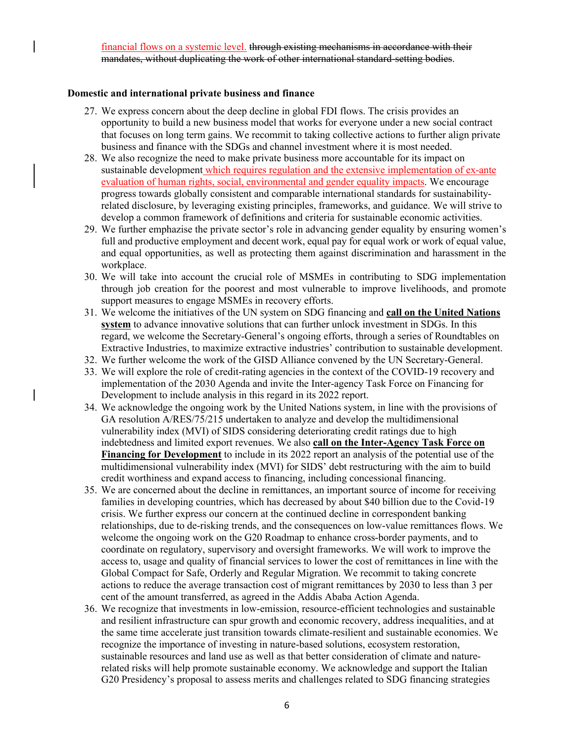financial flows on a systemic level. through existing mechanisms in accordance with their mandates, without duplicating the work of other international standard-setting bodies.

#### **Domestic and international private business and finance**

- 27. We express concern about the deep decline in global FDI flows. The crisis provides an opportunity to build a new business model that works for everyone under a new social contract that focuses on long term gains. We recommit to taking collective actions to further align private business and finance with the SDGs and channel investment where it is most needed.
- 28. We also recognize the need to make private business more accountable for its impact on sustainable development which requires regulation and the extensive implementation of ex-ante evaluation of human rights, social, environmental and gender equality impacts. We encourage progress towards globally consistent and comparable international standards for sustainabilityrelated disclosure, by leveraging existing principles, frameworks, and guidance. We will strive to develop a common framework of definitions and criteria for sustainable economic activities.
- 29. We further emphazise the private sector's role in advancing gender equality by ensuring women's full and productive employment and decent work, equal pay for equal work or work of equal value, and equal opportunities, as well as protecting them against discrimination and harassment in the workplace.
- 30. We will take into account the crucial role of MSMEs in contributing to SDG implementation through job creation for the poorest and most vulnerable to improve livelihoods, and promote support measures to engage MSMEs in recovery efforts.
- 31. We welcome the initiatives of the UN system on SDG financing and **call on the United Nations system** to advance innovative solutions that can further unlock investment in SDGs. In this regard, we welcome the Secretary-General's ongoing efforts, through a series of Roundtables on Extractive Industries, to maximize extractive industries' contribution to sustainable development.
- 32. We further welcome the work of the GISD Alliance convened by the UN Secretary-General.
- 33. We will explore the role of credit-rating agencies in the context of the COVID-19 recovery and implementation of the 2030 Agenda and invite the Inter-agency Task Force on Financing for Development to include analysis in this regard in its 2022 report.
- 34. We acknowledge the ongoing work by the United Nations system, in line with the provisions of GA resolution A/RES/75/215 undertaken to analyze and develop the multidimensional vulnerability index (MVI) of SIDS considering deteriorating credit ratings due to high indebtedness and limited export revenues. We also **call on the Inter-Agency Task Force on Financing for Development** to include in its 2022 report an analysis of the potential use of the multidimensional vulnerability index (MVI) for SIDS' debt restructuring with the aim to build credit worthiness and expand access to financing, including concessional financing.
- 35. We are concerned about the decline in remittances, an important source of income for receiving families in developing countries, which has decreased by about \$40 billion due to the Covid-19 crisis. We further express our concern at the continued decline in correspondent banking relationships, due to de-risking trends, and the consequences on low-value remittances flows. We welcome the ongoing work on the G20 Roadmap to enhance cross-border payments, and to coordinate on regulatory, supervisory and oversight frameworks. We will work to improve the access to, usage and quality of financial services to lower the cost of remittances in line with the Global Compact for Safe, Orderly and Regular Migration. We recommit to taking concrete actions to reduce the average transaction cost of migrant remittances by 2030 to less than 3 per cent of the amount transferred, as agreed in the Addis Ababa Action Agenda.
- 36. We recognize that investments in low-emission, resource-efficient technologies and sustainable and resilient infrastructure can spur growth and economic recovery, address inequalities, and at the same time accelerate just transition towards climate-resilient and sustainable economies. We recognize the importance of investing in nature-based solutions, ecosystem restoration, sustainable resources and land use as well as that better consideration of climate and naturerelated risks will help promote sustainable economy. We acknowledge and support the Italian G20 Presidency's proposal to assess merits and challenges related to SDG financing strategies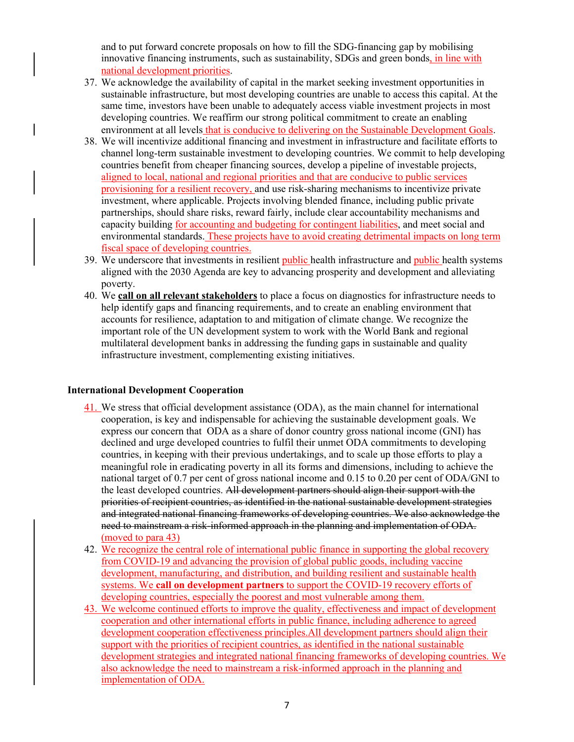and to put forward concrete proposals on how to fill the SDG-financing gap by mobilising innovative financing instruments, such as sustainability, SDGs and green bonds, in line with national development priorities.

- 37. We acknowledge the availability of capital in the market seeking investment opportunities in sustainable infrastructure, but most developing countries are unable to access this capital. At the same time, investors have been unable to adequately access viable investment projects in most developing countries. We reaffirm our strong political commitment to create an enabling environment at all levels that is conducive to delivering on the Sustainable Development Goals.
- 38. We will incentivize additional financing and investment in infrastructure and facilitate efforts to channel long-term sustainable investment to developing countries. We commit to help developing countries benefit from cheaper financing sources, develop a pipeline of investable projects, aligned to local, national and regional priorities and that are conducive to public services provisioning for a resilient recovery, and use risk-sharing mechanisms to incentivize private investment, where applicable. Projects involving blended finance, including public private partnerships, should share risks, reward fairly, include clear accountability mechanisms and capacity building for accounting and budgeting for contingent liabilities, and meet social and environmental standards. These projects have to avoid creating detrimental impacts on long term fiscal space of developing countries.
- 39. We underscore that investments in resilient public health infrastructure and public health systems aligned with the 2030 Agenda are key to advancing prosperity and development and alleviating poverty.
- 40. We **call on all relevant stakeholders** to place a focus on diagnostics for infrastructure needs to help identify gaps and financing requirements, and to create an enabling environment that accounts for resilience, adaptation to and mitigation of climate change. We recognize the important role of the UN development system to work with the World Bank and regional multilateral development banks in addressing the funding gaps in sustainable and quality infrastructure investment, complementing existing initiatives.

## **International Development Cooperation**

- 41. We stress that official development assistance (ODA), as the main channel for international cooperation, is key and indispensable for achieving the sustainable development goals. We express our concern that ODA as a share of donor country gross national income (GNI) has declined and urge developed countries to fulfil their unmet ODA commitments to developing countries, in keeping with their previous undertakings, and to scale up those efforts to play a meaningful role in eradicating poverty in all its forms and dimensions, including to achieve the national target of 0.7 per cent of gross national income and 0.15 to 0.20 per cent of ODA/GNI to the least developed countries. All development partners should align their support with the priorities of recipient countries, as identified in the national sustainable development strategies and integrated national financing frameworks of developing countries. We also acknowledge the need to mainstream a risk-informed approach in the planning and implementation of ODA. (moved to para 43)
- 42. We recognize the central role of international public finance in supporting the global recovery from COVID-19 and advancing the provision of global public goods, including vaccine development, manufacturing, and distribution, and building resilient and sustainable health systems. We **call on development partners** to support the COVID-19 recovery efforts of developing countries, especially the poorest and most vulnerable among them.
- 43. We welcome continued efforts to improve the quality, effectiveness and impact of development cooperation and other international efforts in public finance, including adherence to agreed development cooperation effectiveness principles.All development partners should align their support with the priorities of recipient countries, as identified in the national sustainable development strategies and integrated national financing frameworks of developing countries. We also acknowledge the need to mainstream a risk-informed approach in the planning and implementation of ODA.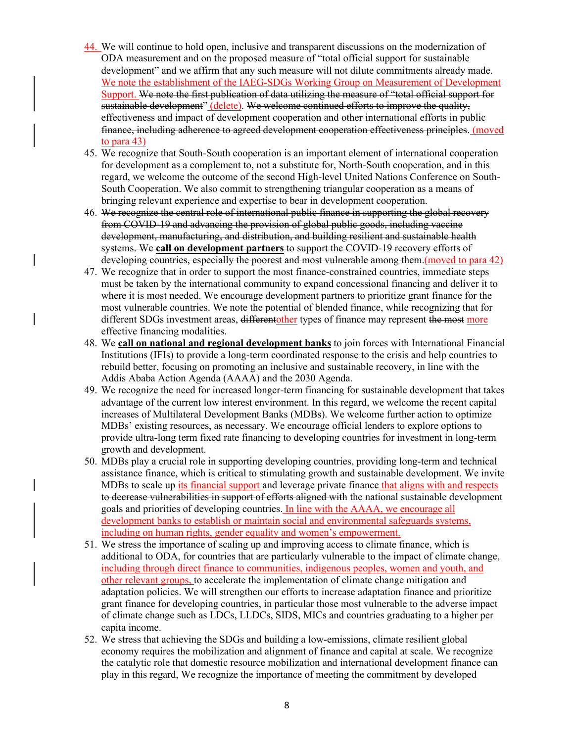- 44. We will continue to hold open, inclusive and transparent discussions on the modernization of ODA measurement and on the proposed measure of "total official support for sustainable development" and we affirm that any such measure will not dilute commitments already made. We note the establishment of the IAEG-SDGs Working Group on Measurement of Development Support. We note the first publication of data utilizing the measure of "total official support for sustainable development" (delete). We welcome continued efforts to improve the quality, effectiveness and impact of development cooperation and other international efforts in public finance, including adherence to agreed development cooperation effectiveness principles. (moved to para 43)
- 45. We recognize that South-South cooperation is an important element of international cooperation for development as a complement to, not a substitute for, North-South cooperation, and in this regard, we welcome the outcome of the second High-level United Nations Conference on South-South Cooperation. We also commit to strengthening triangular cooperation as a means of bringing relevant experience and expertise to bear in development cooperation.
- 46. We recognize the central role of international public finance in supporting the global recovery from COVID-19 and advancing the provision of global public goods, including vaccine development, manufacturing, and distribution, and building resilient and sustainable health systems. We **call on development partners** to support the COVID-19 recovery efforts of developing countries, especially the poorest and most vulnerable among them. (moved to para 42)
- 47. We recognize that in order to support the most finance-constrained countries, immediate steps must be taken by the international community to expand concessional financing and deliver it to where it is most needed. We encourage development partners to prioritize grant finance for the most vulnerable countries. We note the potential of blended finance, while recognizing that for different SDGs investment areas, differentother types of finance may represent the most more effective financing modalities.
- 48. We **call on national and regional development banks** to join forces with International Financial Institutions (IFIs) to provide a long-term coordinated response to the crisis and help countries to rebuild better, focusing on promoting an inclusive and sustainable recovery, in line with the Addis Ababa Action Agenda (AAAA) and the 2030 Agenda.
- 49. We recognize the need for increased longer-term financing for sustainable development that takes advantage of the current low interest environment. In this regard, we welcome the recent capital increases of Multilateral Development Banks (MDBs). We welcome further action to optimize MDBs' existing resources, as necessary. We encourage official lenders to explore options to provide ultra-long term fixed rate financing to developing countries for investment in long-term growth and development.
- 50. MDBs play a crucial role in supporting developing countries, providing long-term and technical assistance finance, which is critical to stimulating growth and sustainable development. We invite MDBs to scale up its financial support and leverage private finance that aligns with and respects to decrease vulnerabilities in support of efforts aligned with the national sustainable development goals and priorities of developing countries. In line with the AAAA, we encourage all development banks to establish or maintain social and environmental safeguards systems, including on human rights, gender equality and women's empowerment.
- 51. We stress the importance of scaling up and improving access to climate finance, which is additional to ODA, for countries that are particularly vulnerable to the impact of climate change, including through direct finance to communities, indigenous peoples, women and youth, and other relevant groups, to accelerate the implementation of climate change mitigation and adaptation policies. We will strengthen our efforts to increase adaptation finance and prioritize grant finance for developing countries, in particular those most vulnerable to the adverse impact of climate change such as LDCs, LLDCs, SIDS, MICs and countries graduating to a higher per capita income.
- 52. We stress that achieving the SDGs and building a low-emissions, climate resilient global economy requires the mobilization and alignment of finance and capital at scale. We recognize the catalytic role that domestic resource mobilization and international development finance can play in this regard, We recognize the importance of meeting the commitment by developed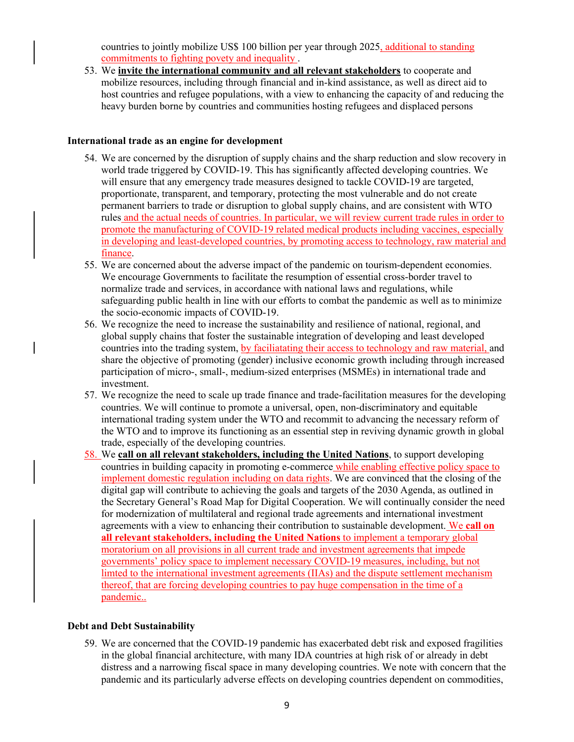countries to jointly mobilize US\$ 100 billion per year through 2025, additional to standing commitments to fighting povety and inequality .

53. We **invite the international community and all relevant stakeholders** to cooperate and mobilize resources, including through financial and in-kind assistance, as well as direct aid to host countries and refugee populations, with a view to enhancing the capacity of and reducing the heavy burden borne by countries and communities hosting refugees and displaced persons

#### **International trade as an engine for development**

- 54. We are concerned by the disruption of supply chains and the sharp reduction and slow recovery in world trade triggered by COVID-19. This has significantly affected developing countries. We will ensure that any emergency trade measures designed to tackle COVID-19 are targeted, proportionate, transparent, and temporary, protecting the most vulnerable and do not create permanent barriers to trade or disruption to global supply chains, and are consistent with WTO rules and the actual needs of countries. In particular, we will review current trade rules in order to promote the manufacturing of COVID-19 related medical products including vaccines, especially in developing and least-developed countries, by promoting access to technology, raw material and finance.
- 55. We are concerned about the adverse impact of the pandemic on tourism-dependent economies. We encourage Governments to facilitate the resumption of essential cross-border travel to normalize trade and services, in accordance with national laws and regulations, while safeguarding public health in line with our efforts to combat the pandemic as well as to minimize the socio-economic impacts of COVID-19.
- 56. We recognize the need to increase the sustainability and resilience of national, regional, and global supply chains that foster the sustainable integration of developing and least developed countries into the trading system, by faciliatating their access to technology and raw material, and share the objective of promoting (gender) inclusive economic growth including through increased participation of micro-, small-, medium-sized enterprises (MSMEs) in international trade and investment.
- 57. We recognize the need to scale up trade finance and trade-facilitation measures for the developing countries. We will continue to promote a universal, open, non-discriminatory and equitable international trading system under the WTO and recommit to advancing the necessary reform of the WTO and to improve its functioning as an essential step in reviving dynamic growth in global trade, especially of the developing countries.
- 58. We **call on all relevant stakeholders, including the United Nations**, to support developing countries in building capacity in promoting e-commerce while enabling effective policy space to implement domestic regulation including on data rights. We are convinced that the closing of the digital gap will contribute to achieving the goals and targets of the 2030 Agenda, as outlined in the Secretary General's Road Map for Digital Cooperation. We will continually consider the need for modernization of multilateral and regional trade agreements and international investment agreements with a view to enhancing their contribution to sustainable development. We **call on all relevant stakeholders, including the United Nations** to implement a temporary global moratorium on all provisions in all current trade and investment agreements that impede governments' policy space to implement necessary COVID-19 measures, including, but not limted to the international investment agreements (IIAs) and the dispute settlement mechanism thereof, that are forcing developing countries to pay huge compensation in the time of a pandemic..

## **Debt and Debt Sustainability**

59. We are concerned that the COVID-19 pandemic has exacerbated debt risk and exposed fragilities in the global financial architecture, with many IDA countries at high risk of or already in debt distress and a narrowing fiscal space in many developing countries. We note with concern that the pandemic and its particularly adverse effects on developing countries dependent on commodities,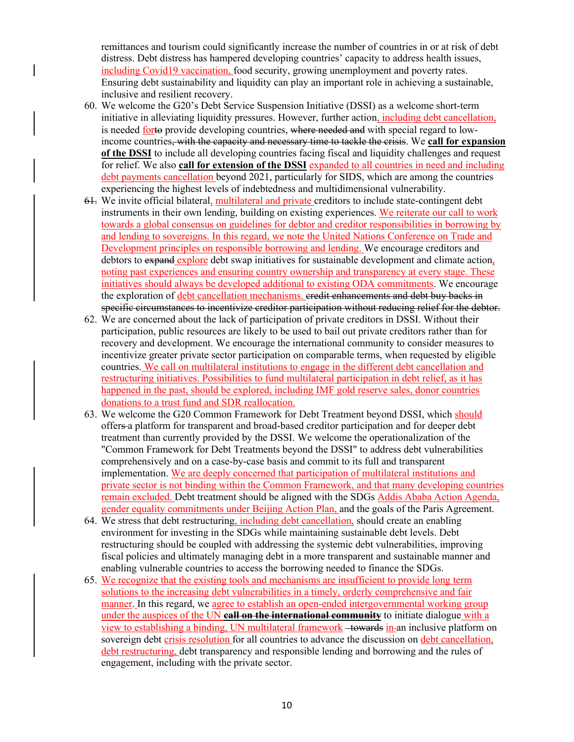remittances and tourism could significantly increase the number of countries in or at risk of debt distress. Debt distress has hampered developing countries' capacity to address health issues, including Covid19 vaccination, food security, growing unemployment and poverty rates. Ensuring debt sustainability and liquidity can play an important role in achieving a sustainable, inclusive and resilient recovery.

- 60. We welcome the G20's Debt Service Suspension Initiative (DSSI) as a welcome short-term initiative in alleviating liquidity pressures. However, further action, including debt cancellation, is needed forto provide developing countries, where needed and with special regard to lowincome countries, with the capacity and necessary time to tackle the crisis. We **call for expansion of the DSSI** to include all developing countries facing fiscal and liquidity challenges and request for relief. We also **call for extension of the DSSI** expanded to all countries in need and including debt payments cancellation beyond 2021, particularly for SIDS, which are among the countries experiencing the highest levels of indebtedness and multidimensional vulnerability.
- 61. We invite official bilateral, multilateral and private creditors to include state-contingent debt instruments in their own lending, building on existing experiences. We reiterate our call to work towards a global consensus on guidelines for debtor and creditor responsibilities in borrowing by and lending to sovereigns. In this regard, we note the United Nations Conference on Trade and Development principles on responsible borrowing and lending. We encourage creditors and debtors to expand explore debt swap initiatives for sustainable development and climate action, noting past experiences and ensuring country ownership and transparency at every stage. These initiatives should always be developed additional to existing ODA commitments. We encourage the exploration of debt cancellation mechanisms, eredit enhancements and debt buy backs in specific circumstances to incentivize creditor participation without reducing relief for the debtor.
- 62. We are concerned about the lack of participation of private creditors in DSSI. Without their participation, public resources are likely to be used to bail out private creditors rather than for recovery and development. We encourage the international community to consider measures to incentivize greater private sector participation on comparable terms, when requested by eligible countries. We call on multilateral institutions to engage in the different debt cancellation and restructuring initiatives. Possibilities to fund multilateral participation in debt relief, as it has happened in the past, should be explored, including IMF gold reserve sales, donor countries donations to a trust fund and SDR reallocation.
- 63. We welcome the G20 Common Framework for Debt Treatment beyond DSSI, which should offers a platform for transparent and broad-based creditor participation and for deeper debt treatment than currently provided by the DSSI. We welcome the operationalization of the "Common Framework for Debt Treatments beyond the DSSI" to address debt vulnerabilities comprehensively and on a case-by-case basis and commit to its full and transparent implementation. We are deeply concerned that participation of multilateral institutions and private sector is not binding within the Common Framework, and that many developing countries remain excluded. Debt treatment should be aligned with the SDGs Addis Ababa Action Agenda, gender equality commitments under Beijing Action Plan, and the goals of the Paris Agreement.
- 64. We stress that debt restructuring, including debt cancellation, should create an enabling environment for investing in the SDGs while maintaining sustainable debt levels. Debt restructuring should be coupled with addressing the systemic debt vulnerabilities, improving fiscal policies and ultimately managing debt in a more transparent and sustainable manner and enabling vulnerable countries to access the borrowing needed to finance the SDGs.
- 65. We recognize that the existing tools and mechanisms are insufficient to provide long term solutions to the increasing debt vulnerabilities in a timely, orderly comprehensive and fair manner. In this regard, we agree to establish an open-ended intergovernmental working group under the auspices of the UN **call on the international community** to initiate dialogue with a view to establishing a binding, UN multilateral framework -towards in-an inclusive platform on sovereign debt crisis resolution for all countries to advance the discussion on debt cancellation, debt restructuring, debt transparency and responsible lending and borrowing and the rules of engagement, including with the private sector.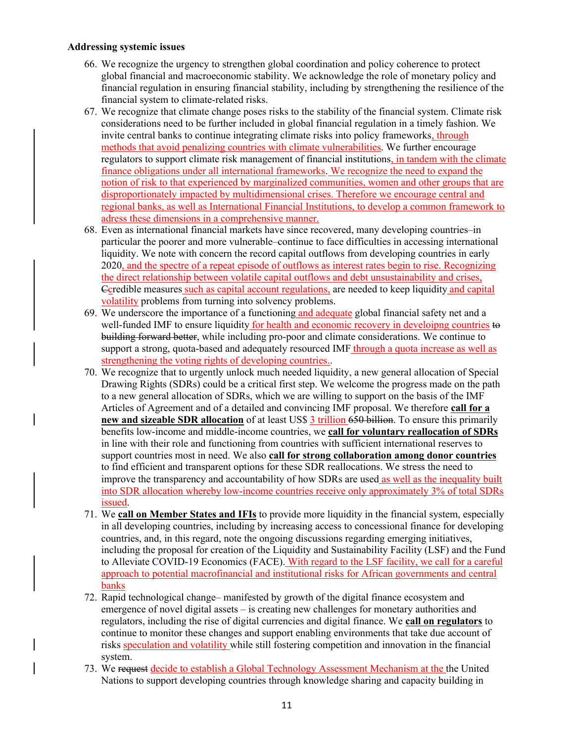#### **Addressing systemic issues**

- 66. We recognize the urgency to strengthen global coordination and policy coherence to protect global financial and macroeconomic stability. We acknowledge the role of monetary policy and financial regulation in ensuring financial stability, including by strengthening the resilience of the financial system to climate-related risks.
- 67. We recognize that climate change poses risks to the stability of the financial system. Climate risk considerations need to be further included in global financial regulation in a timely fashion. We invite central banks to continue integrating climate risks into policy frameworks, through methods that avoid penalizing countries with climate vulnerabilities. We further encourage regulators to support climate risk management of financial institutions, in tandem with the climate finance obligations under all international frameworks. We recognize the need to expand the notion of risk to that experienced by marginalized communities, women and other groups that are disproportionately impacted by multidimensional crises. Therefore we encourage central and regional banks, as well as International Financial Institutions, to develop a common framework to adress these dimensions in a comprehensive manner.
- 68. Even as international financial markets have since recovered, many developing countries–in particular the poorer and more vulnerable–continue to face difficulties in accessing international liquidity. We note with concern the record capital outflows from developing countries in early 2020, and the spectre of a repeat episode of outflows as interest rates begin to rise. Recognizing the direct relationship between volatile capital outflows and debt unsustainability and crises, Ccredible measures such as capital account regulations, are needed to keep liquidity and capital volatility problems from turning into solvency problems.
- 69. We underscore the importance of a functioning and adequate global financial safety net and a well-funded IMF to ensure liquidity for health and economic recovery in develoipng countries to building forward better, while including pro-poor and climate considerations. We continue to support a strong, quota-based and adequately resourced IMF through a quota increase as well as strengthening the voting rights of developing countries..
- 70. We recognize that to urgently unlock much needed liquidity, a new general allocation of Special Drawing Rights (SDRs) could be a critical first step. We welcome the progress made on the path to a new general allocation of SDRs, which we are willing to support on the basis of the IMF Articles of Agreement and of a detailed and convincing IMF proposal. We therefore **call for a new and sizeable SDR allocation** of at least US\$ 3 trillion 650 billion. To ensure this primarily benefits low-income and middle-income countries, we **call for voluntary reallocation of SDRs** in line with their role and functioning from countries with sufficient international reserves to support countries most in need. We also **call for strong collaboration among donor countries** to find efficient and transparent options for these SDR reallocations. We stress the need to improve the transparency and accountability of how SDRs are used as well as the inequality built into SDR allocation whereby low-income countries receive only approximately 3% of total SDRs issued.
- 71. We **call on Member States and IFIs** to provide more liquidity in the financial system, especially in all developing countries, including by increasing access to concessional finance for developing countries, and, in this regard, note the ongoing discussions regarding emerging initiatives, including the proposal for creation of the Liquidity and Sustainability Facility (LSF) and the Fund to Alleviate COVID-19 Economics (FACE). With regard to the LSF facility, we call for a careful approach to potential macrofinancial and institutional risks for African governments and central banks
- 72. Rapid technological change– manifested by growth of the digital finance ecosystem and emergence of novel digital assets – is creating new challenges for monetary authorities and regulators, including the rise of digital currencies and digital finance. We **call on regulators** to continue to monitor these changes and support enabling environments that take due account of risks speculation and volatility while still fostering competition and innovation in the financial system.
- 73. We request decide to establish a Global Technology Assessment Mechanism at the the United Nations to support developing countries through knowledge sharing and capacity building in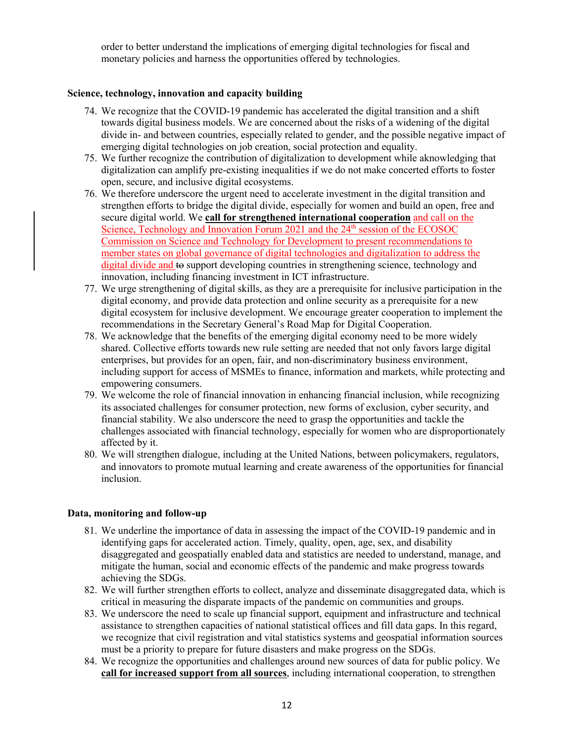order to better understand the implications of emerging digital technologies for fiscal and monetary policies and harness the opportunities offered by technologies.

# **Science, technology, innovation and capacity building**

- 74. We recognize that the COVID-19 pandemic has accelerated the digital transition and a shift towards digital business models. We are concerned about the risks of a widening of the digital divide in- and between countries, especially related to gender, and the possible negative impact of emerging digital technologies on job creation, social protection and equality.
- 75. We further recognize the contribution of digitalization to development while aknowledging that digitalization can amplify pre-existing inequalities if we do not make concerted efforts to foster open, secure, and inclusive digital ecosystems.
- 76. We therefore underscore the urgent need to accelerate investment in the digital transition and strengthen efforts to bridge the digital divide, especially for women and build an open, free and secure digital world. We **call for strengthened international cooperation** and call on the Science, Technology and Innovation Forum 2021 and the  $24<sup>th</sup>$  session of the ECOSOC Commission on Science and Technology for Development to present recommendations to member states on global governance of digital technologies and digitalization to address the digital divide and to support developing countries in strengthening science, technology and innovation, including financing investment in ICT infrastructure.
- 77. We urge strengthening of digital skills, as they are a prerequisite for inclusive participation in the digital economy, and provide data protection and online security as a prerequisite for a new digital ecosystem for inclusive development. We encourage greater cooperation to implement the recommendations in the Secretary General's Road Map for Digital Cooperation.
- 78. We acknowledge that the benefits of the emerging digital economy need to be more widely shared. Collective efforts towards new rule setting are needed that not only favors large digital enterprises, but provides for an open, fair, and non-discriminatory business environment, including support for access of MSMEs to finance, information and markets, while protecting and empowering consumers.
- 79. We welcome the role of financial innovation in enhancing financial inclusion, while recognizing its associated challenges for consumer protection, new forms of exclusion, cyber security, and financial stability. We also underscore the need to grasp the opportunities and tackle the challenges associated with financial technology, especially for women who are disproportionately affected by it.
- 80. We will strengthen dialogue, including at the United Nations, between policymakers, regulators, and innovators to promote mutual learning and create awareness of the opportunities for financial inclusion.

## **Data, monitoring and follow-up**

- 81. We underline the importance of data in assessing the impact of the COVID-19 pandemic and in identifying gaps for accelerated action. Timely, quality, open, age, sex, and disability disaggregated and geospatially enabled data and statistics are needed to understand, manage, and mitigate the human, social and economic effects of the pandemic and make progress towards achieving the SDGs.
- 82. We will further strengthen efforts to collect, analyze and disseminate disaggregated data, which is critical in measuring the disparate impacts of the pandemic on communities and groups.
- 83. We underscore the need to scale up financial support, equipment and infrastructure and technical assistance to strengthen capacities of national statistical offices and fill data gaps. In this regard, we recognize that civil registration and vital statistics systems and geospatial information sources must be a priority to prepare for future disasters and make progress on the SDGs.
- 84. We recognize the opportunities and challenges around new sources of data for public policy. We **call for increased support from all sources**, including international cooperation, to strengthen